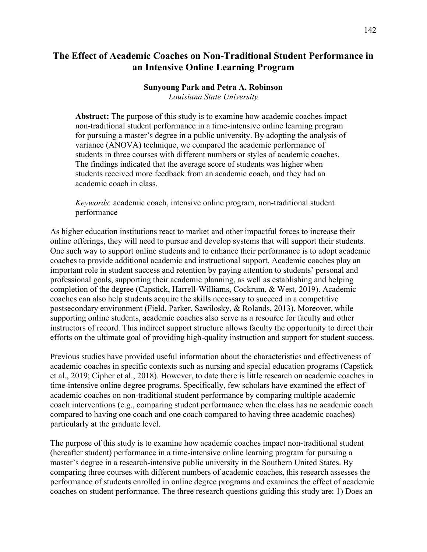# **The Effect of Academic Coaches on Non-Traditional Student Performance in an Intensive Online Learning Program**

# **Sunyoung Park and Petra A. Robinson**

*Louisiana State University*

**Abstract:** The purpose of this study is to examine how academic coaches impact non-traditional student performance in a time-intensive online learning program for pursuing a master's degree in a public university. By adopting the analysis of variance (ANOVA) technique, we compared the academic performance of students in three courses with different numbers or styles of academic coaches. The findings indicated that the average score of students was higher when students received more feedback from an academic coach, and they had an academic coach in class.

*Keywords*: academic coach, intensive online program, non-traditional student performance

As higher education institutions react to market and other impactful forces to increase their online offerings, they will need to pursue and develop systems that will support their students. One such way to support online students and to enhance their performance is to adopt academic coaches to provide additional academic and instructional support. Academic coaches play an important role in student success and retention by paying attention to students' personal and professional goals, supporting their academic planning, as well as establishing and helping completion of the degree (Capstick, Harrell-Williams, Cockrum, & West, 2019). Academic coaches can also help students acquire the skills necessary to succeed in a competitive postsecondary environment (Field, Parker, Sawilosky, & Rolands, 2013). Moreover, while supporting online students, academic coaches also serve as a resource for faculty and other instructors of record. This indirect support structure allows faculty the opportunity to direct their efforts on the ultimate goal of providing high-quality instruction and support for student success.

Previous studies have provided useful information about the characteristics and effectiveness of academic coaches in specific contexts such as nursing and special education programs (Capstick et al., 2019; Cipher et al., 2018). However, to date there is little research on academic coaches in time-intensive online degree programs. Specifically, few scholars have examined the effect of academic coaches on non-traditional student performance by comparing multiple academic coach interventions (e.g., comparing student performance when the class has no academic coach compared to having one coach and one coach compared to having three academic coaches) particularly at the graduate level.

The purpose of this study is to examine how academic coaches impact non-traditional student (hereafter student) performance in a time-intensive online learning program for pursuing a master's degree in a research-intensive public university in the Southern United States. By comparing three courses with different numbers of academic coaches, this research assesses the performance of students enrolled in online degree programs and examines the effect of academic coaches on student performance. The three research questions guiding this study are: 1) Does an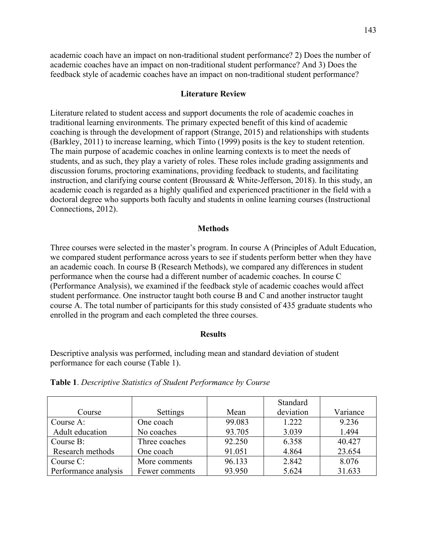academic coach have an impact on non-traditional student performance? 2) Does the number of academic coaches have an impact on non-traditional student performance? And 3) Does the feedback style of academic coaches have an impact on non-traditional student performance?

## **Literature Review**

Literature related to student access and support documents the role of academic coaches in traditional learning environments. The primary expected benefit of this kind of academic coaching is through the development of rapport (Strange, 2015) and relationships with students (Barkley, 2011) to increase learning, which Tinto (1999) posits is the key to student retention. The main purpose of academic coaches in online learning contexts is to meet the needs of students, and as such, they play a variety of roles. These roles include grading assignments and discussion forums, proctoring examinations, providing feedback to students, and facilitating instruction, and clarifying course content (Broussard & White-Jefferson, 2018). In this study, an academic coach is regarded as a highly qualified and experienced practitioner in the field with a doctoral degree who supports both faculty and students in online learning courses (Instructional Connections, 2012).

#### **Methods**

Three courses were selected in the master's program. In course A (Principles of Adult Education, we compared student performance across years to see if students perform better when they have an academic coach. In course B (Research Methods), we compared any differences in student performance when the course had a different number of academic coaches. In course C (Performance Analysis), we examined if the feedback style of academic coaches would affect student performance. One instructor taught both course B and C and another instructor taught course A. The total number of participants for this study consisted of 435 graduate students who enrolled in the program and each completed the three courses.

### **Results**

Descriptive analysis was performed, including mean and standard deviation of student performance for each course (Table 1).

|                      |                |        | Standard  |          |
|----------------------|----------------|--------|-----------|----------|
| Course               | Settings       | Mean   | deviation | Variance |
| Course A:            | One coach      | 99.083 | 1.222     | 9.236    |
| Adult education      | No coaches     | 93.705 | 3.039     | 1.494    |
| Course B:            | Three coaches  | 92.250 | 6.358     | 40.427   |
| Research methods     | One coach      | 91.051 | 4.864     | 23.654   |
| Course C:            | More comments  | 96.133 | 2.842     | 8.076    |
| Performance analysis | Fewer comments | 93.950 | 5.624     | 31.633   |

**Table 1**. *Descriptive Statistics of Student Performance by Course*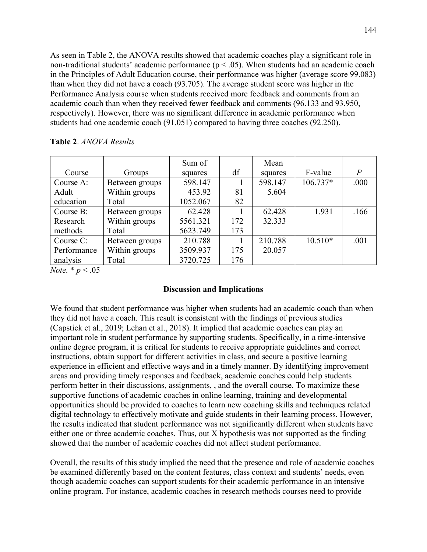As seen in Table 2, the ANOVA results showed that academic coaches play a significant role in non-traditional students' academic performance ( $p < .05$ ). When students had an academic coach in the Principles of Adult Education course, their performance was higher (average score 99.083) than when they did not have a coach (93.705). The average student score was higher in the Performance Analysis course when students received more feedback and comments from an academic coach than when they received fewer feedback and comments (96.133 and 93.950, respectively). However, there was no significant difference in academic performance when students had one academic coach (91.051) compared to having three coaches (92.250).

|  |  |  | Table 2. ANOVA Results |
|--|--|--|------------------------|
|--|--|--|------------------------|

|             |                | Sum of   |     | Mean    |           |       |
|-------------|----------------|----------|-----|---------|-----------|-------|
| Course      | Groups         | squares  | df  | squares | F-value   | $\,P$ |
| Course A:   | Between groups | 598.147  |     | 598.147 | 106.737*  | .000  |
| Adult       | Within groups  | 453.92   | 81  | 5.604   |           |       |
| education   | Total          | 1052.067 | 82  |         |           |       |
| Course B:   | Between groups | 62.428   |     | 62.428  | 1.931     | .166  |
| Research    | Within groups  | 5561.321 | 172 | 32.333  |           |       |
| methods     | Total          | 5623.749 | 173 |         |           |       |
| Course C:   | Between groups | 210.788  |     | 210.788 | $10.510*$ | .001  |
| Performance | Within groups  | 3509.937 | 175 | 20.057  |           |       |
| analysis    | Total          | 3720.725 | 176 |         |           |       |

*Note.* \* *p* < .05

# **Discussion and Implications**

We found that student performance was higher when students had an academic coach than when they did not have a coach. This result is consistent with the findings of previous studies (Capstick et al., 2019; Lehan et al., 2018). It implied that academic coaches can play an important role in student performance by supporting students. Specifically, in a time-intensive online degree program, it is critical for students to receive appropriate guidelines and correct instructions, obtain support for different activities in class, and secure a positive learning experience in efficient and effective ways and in a timely manner. By identifying improvement areas and providing timely responses and feedback, academic coaches could help students perform better in their discussions, assignments, , and the overall course. To maximize these supportive functions of academic coaches in online learning, training and developmental opportunities should be provided to coaches to learn new coaching skills and techniques related digital technology to effectively motivate and guide students in their learning process. However, the results indicated that student performance was not significantly different when students have either one or three academic coaches. Thus, out X hypothesis was not supported as the finding showed that the number of academic coaches did not affect student performance.

Overall, the results of this study implied the need that the presence and role of academic coaches be examined differently based on the content features, class context and students' needs, even though academic coaches can support students for their academic performance in an intensive online program. For instance, academic coaches in research methods courses need to provide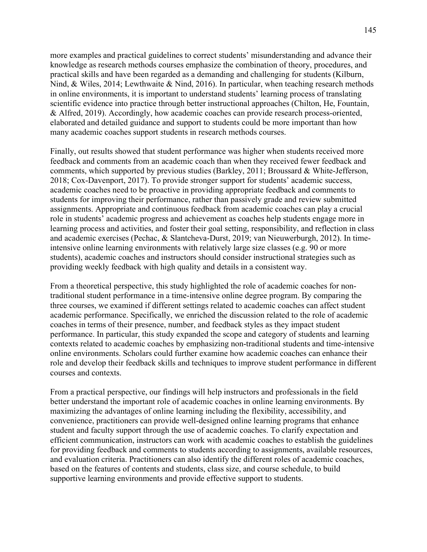more examples and practical guidelines to correct students' misunderstanding and advance their knowledge as research methods courses emphasize the combination of theory, procedures, and practical skills and have been regarded as a demanding and challenging for students (Kilburn, Nind, & Wiles, 2014; Lewthwaite & Nind, 2016). In particular, when teaching research methods in online environments, it is important to understand students' learning process of translating scientific evidence into practice through better instructional approaches (Chilton, He, Fountain, & Alfred, 2019). Accordingly, how academic coaches can provide research process-oriented, elaborated and detailed guidance and support to students could be more important than how many academic coaches support students in research methods courses.

Finally, out results showed that student performance was higher when students received more feedback and comments from an academic coach than when they received fewer feedback and comments, which supported by previous studies (Barkley, 2011; Broussard & White-Jefferson, 2018; Cox-Davenport, 2017). To provide stronger support for students' academic success, academic coaches need to be proactive in providing appropriate feedback and comments to students for improving their performance, rather than passively grade and review submitted assignments. Appropriate and continuous feedback from academic coaches can play a crucial role in students' academic progress and achievement as coaches help students engage more in learning process and activities, and foster their goal setting, responsibility, and reflection in class and academic exercises (Pechac, & Slantcheva-Durst, 2019; van Nieuwerburgh, 2012). In timeintensive online learning environments with relatively large size classes (e.g. 90 or more students), academic coaches and instructors should consider instructional strategies such as providing weekly feedback with high quality and details in a consistent way.

From a theoretical perspective, this study highlighted the role of academic coaches for nontraditional student performance in a time-intensive online degree program. By comparing the three courses, we examined if different settings related to academic coaches can affect student academic performance. Specifically, we enriched the discussion related to the role of academic coaches in terms of their presence, number, and feedback styles as they impact student performance. In particular, this study expanded the scope and category of students and learning contexts related to academic coaches by emphasizing non-traditional students and time-intensive online environments. Scholars could further examine how academic coaches can enhance their role and develop their feedback skills and techniques to improve student performance in different courses and contexts.

From a practical perspective, our findings will help instructors and professionals in the field better understand the important role of academic coaches in online learning environments. By maximizing the advantages of online learning including the flexibility, accessibility, and convenience, practitioners can provide well-designed online learning programs that enhance student and faculty support through the use of academic coaches. To clarify expectation and efficient communication, instructors can work with academic coaches to establish the guidelines for providing feedback and comments to students according to assignments, available resources, and evaluation criteria. Practitioners can also identify the different roles of academic coaches, based on the features of contents and students, class size, and course schedule, to build supportive learning environments and provide effective support to students.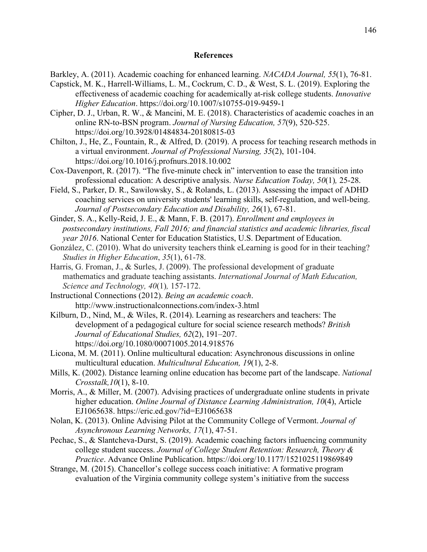### **References**

- Barkley, A. (2011). Academic coaching for enhanced learning. *NACADA Journal, 55*(1), 76-81.
- Capstick, M. K., Harrell-Williams, L. M., Cockrum, C. D., & West, S. L. (2019). Exploring the effectiveness of academic coaching for academically at-risk college students. *Innovative Higher Education*. https://doi.org/10.1007/s10755-019-9459-1
- Cipher, D. J., Urban, R. W., & Mancini, M. E. (2018). Characteristics of academic coaches in an online RN-to-BSN program. *Journal of Nursing Education, 57*(9), 520-525. https://doi.org/10.3928/01484834-20180815-03
- Chilton, J., He, Z., Fountain, R., & Alfred, D. (2019). A process for teaching research methods in a virtual environment. *Journal of Professional Nursing, 35*(2), 101-104. https://doi.org/10.1016/j.profnurs.2018.10.002
- Cox-Davenport, R. (2017). "The five-minute check in" intervention to ease the transition into professional education: A descriptive analysis. *Nurse Education Today, 50*(1)*,* 25-28.
- Field, S., Parker, D. R., Sawilowsky, S., & Rolands, L. (2013). Assessing the impact of ADHD coaching services on university students' learning skills, self-regulation, and well-being. *Journal of Postsecondary Education and Disability, 26*(1), 67-81.
- Ginder, S. A., Kelly-Reid, J. E., & Mann, F. B. (2017). *Enrollment and employees in postsecondary institutions, Fall 2016; and financial statistics and academic libraries, fiscal year 2016*. National Center for Education Statistics, U.S. Department of Education.
- González, C. (2010). What do university teachers think eLearning is good for in their teaching? *Studies in Higher Education*, *35*(1), 61-78.
- Harris, G. Froman, J., & Surles, J. (2009). The professional development of graduate mathematics and graduate teaching assistants. *International Journal of Math Education, Science and Technology, 40*(1)*,* 157-172.
- Instructional Connections (2012). *Being an academic coach*. http://www.instructionalconnections.com/index-3.html
- Kilburn, D., Nind, M., & Wiles, R. (2014). Learning as researchers and teachers: The development of a pedagogical culture for social science research methods? *British Journal of Educational Studies, 62*(2), 191–207. https://doi.org/10.1080/00071005.2014.918576
- Licona, M. M. (2011). Online multicultural education: Asynchronous discussions in online multicultural education. *Multicultural Education, 19*(1), 2-8.
- Mills, K. (2002). Distance learning online education has become part of the landscape. *National Crosstalk,10*(1), 8-10.
- Morris, A., & Miller, M. (2007). Advising practices of undergraduate online students in private higher education. *Online Journal of Distance Learning Administration, 10*(4), Article EJ1065638. https://eric.ed.gov/?id=EJ1065638
- Nolan, K. (2013). Online Advising Pilot at the Community College of Vermont. *Journal of Asynchronous Learning Networks, 17*(1), 47-51.
- Pechac, S., & Slantcheva-Durst, S. (2019). Academic coaching factors influencing community college student success. *Journal of College Student Retention: Research, Theory & Practice*. Advance Online Publication. https://doi.org/10.1177/1521025119869849
- Strange, M. (2015). Chancellor's college success coach initiative: A formative program evaluation of the Virginia community college system's initiative from the success